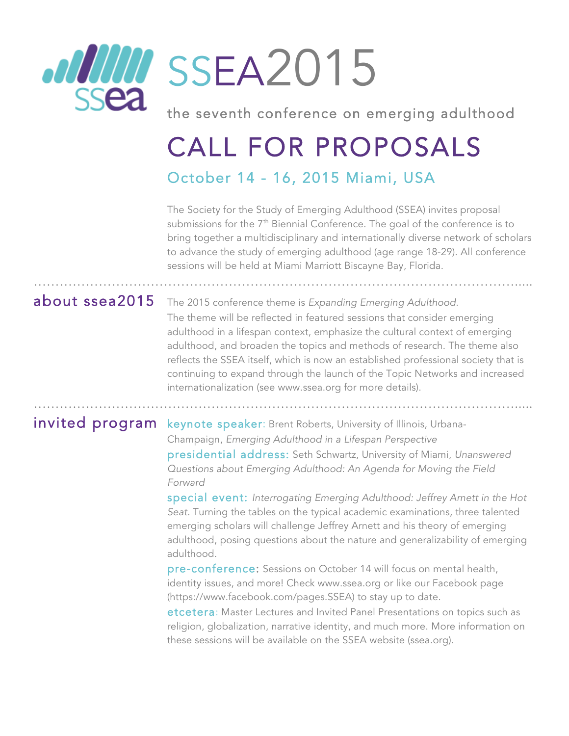

the seventh conference on emerging adulthood

# CALL FOR PROPOSALS October 14 - 16, 2015 Miami, USA

………………………………………………………………………………………………….....

………………………………………………………………………………………………….....

The Society for the Study of Emerging Adulthood (SSEA) invites proposal submissions for the 7<sup>th</sup> Biennial Conference. The goal of the conference is to bring together a multidisciplinary and internationally diverse network of scholars to advance the study of emerging adulthood (age range 18-29). All conference sessions will be held at Miami Marriott Biscayne Bay, Florida.

about ssea2015 The 2015 conference theme is *Expanding Emerging Adulthood*. The theme will be reflected in featured sessions that consider emerging adulthood in a lifespan context, emphasize the cultural context of emerging adulthood, and broaden the topics and methods of research. The theme also reflects the SSEA itself, which is now an established professional society that is continuing to expand through the launch of the Topic Networks and increased internationalization (see www.ssea.org for more details).

### invited program keynote speaker: Brent Roberts, University of Illinois, Urbana-

 Champaign, *Emerging Adulthood in a Lifespan Perspective* presidential address: Seth Schwartz, University of Miami, *Unanswered Questions about Emerging Adulthood: An Agenda for Moving the Field Forward*

special event: *Interrogating Emerging Adulthood: Jeffrey Arnett in the Hot Seat.* Turning the tables on the typical academic examinations, three talented emerging scholars will challenge Jeffrey Arnett and his theory of emerging adulthood, posing questions about the nature and generalizability of emerging adulthood.

pre-conference: Sessions on October 14 will focus on mental health, identity issues, and more! Check www.ssea.org or like our Facebook page (https://www.facebook.com/pages.SSEA) to stay up to date.

etcetera: Master Lectures and Invited Panel Presentations on topics such as religion, globalization, narrative identity, and much more. More information on these sessions will be available on the SSEA website (ssea.org).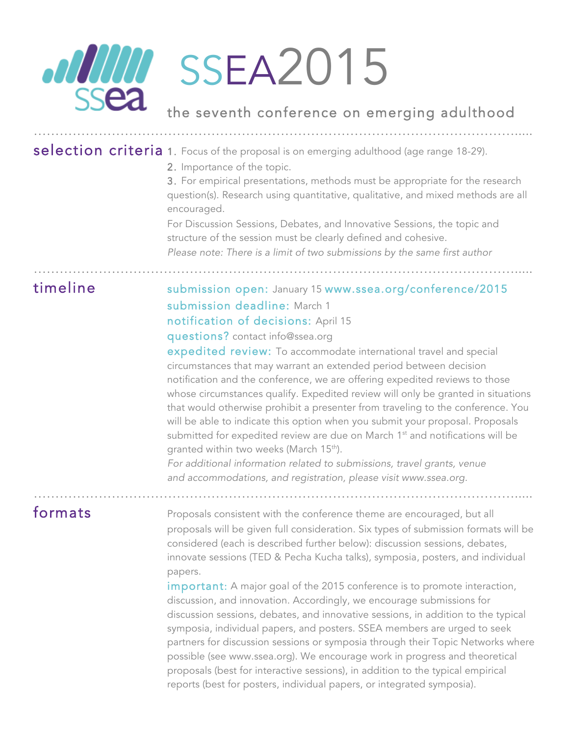

the seventh conference on emerging adulthood

# selection criteria 1. Focus of the proposal is on emerging adulthood (age range 18-29).

………………………………………………………………………………………………….....

………………………………………………………………………………………………….....

………………………………………………………………………………………………….....

2. Importance of the topic.

3. For empirical presentations, methods must be appropriate for the research question(s). Research using quantitative, qualitative, and mixed methods are all encouraged.

For Discussion Sessions, Debates, and Innovative Sessions, the topic and structure of the session must be clearly defined and cohesive. *Please note: There is a limit of two submissions by the same first author*

timeline submission open: January 15 www.ssea.org/conference/2015 submission deadline: March 1 notification of decisions: April 15 questions? contact info@ssea.org

> expedited review: To accommodate international travel and special circumstances that may warrant an extended period between decision notification and the conference, we are offering expedited reviews to those whose circumstances qualify. Expedited review will only be granted in situations that would otherwise prohibit a presenter from traveling to the conference. You will be able to indicate this option when you submit your proposal. Proposals submitted for expedited review are due on March  $1<sup>st</sup>$  and notifications will be granted within two weeks (March 15<sup>th</sup>).

*For additional information related to submissions, travel grants, venue and accommodations, and registration, please visit www.ssea.org.*

formats **Proposals consistent with the conference theme are encouraged, but all** proposals will be given full consideration. Six types of submission formats will be considered (each is described further below): discussion sessions, debates, innovate sessions (TED & Pecha Kucha talks), symposia, posters, and individual papers.

> important: A major goal of the 2015 conference is to promote interaction, discussion, and innovation. Accordingly, we encourage submissions for discussion sessions, debates, and innovative sessions, in addition to the typical symposia, individual papers, and posters. SSEA members are urged to seek partners for discussion sessions or symposia through their Topic Networks where possible (see www.ssea.org). We encourage work in progress and theoretical proposals (best for interactive sessions), in addition to the typical empirical reports (best for posters, individual papers, or integrated symposia).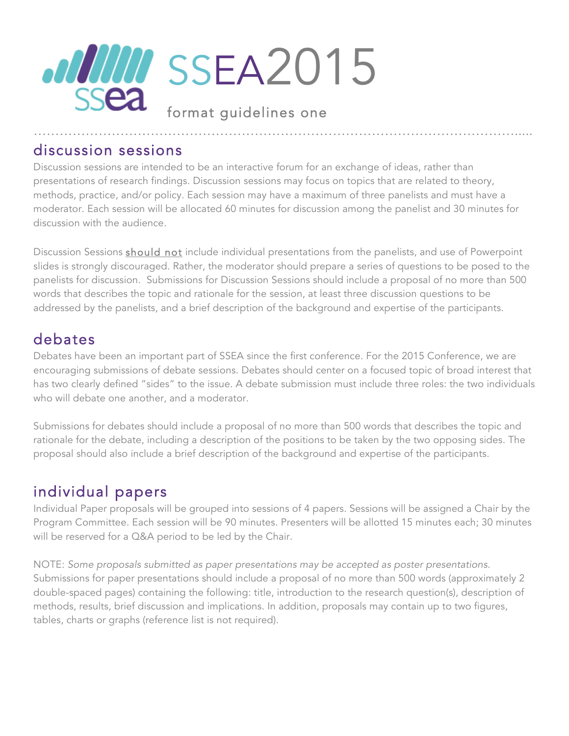

Discussion sessions are intended to be an interactive forum for an exchange of ideas, rather than presentations of research findings. Discussion sessions may focus on topics that are related to theory, methods, practice, and/or policy. Each session may have a maximum of three panelists and must have a moderator. Each session will be allocated 60 minutes for discussion among the panelist and 30 minutes for discussion with the audience.

Discussion Sessions should not include individual presentations from the panelists, and use of Powerpoint slides is strongly discouraged. Rather, the moderator should prepare a series of questions to be posed to the panelists for discussion. Submissions for Discussion Sessions should include a proposal of no more than 500 words that describes the topic and rationale for the session, at least three discussion questions to be addressed by the panelists, and a brief description of the background and expertise of the participants.

# debates

Debates have been an important part of SSEA since the first conference. For the 2015 Conference, we are encouraging submissions of debate sessions. Debates should center on a focused topic of broad interest that has two clearly defined "sides" to the issue. A debate submission must include three roles: the two individuals who will debate one another, and a moderator.

Submissions for debates should include a proposal of no more than 500 words that describes the topic and rationale for the debate, including a description of the positions to be taken by the two opposing sides. The proposal should also include a brief description of the background and expertise of the participants.

# individual papers

Individual Paper proposals will be grouped into sessions of 4 papers. Sessions will be assigned a Chair by the Program Committee. Each session will be 90 minutes. Presenters will be allotted 15 minutes each; 30 minutes will be reserved for a Q&A period to be led by the Chair.

NOTE: *Some proposals submitted as paper presentations may be accepted as poster presentations.*  Submissions for paper presentations should include a proposal of no more than 500 words (approximately 2 double-spaced pages) containing the following: title, introduction to the research question(s), description of methods, results, brief discussion and implications. In addition, proposals may contain up to two figures, tables, charts or graphs (reference list is not required).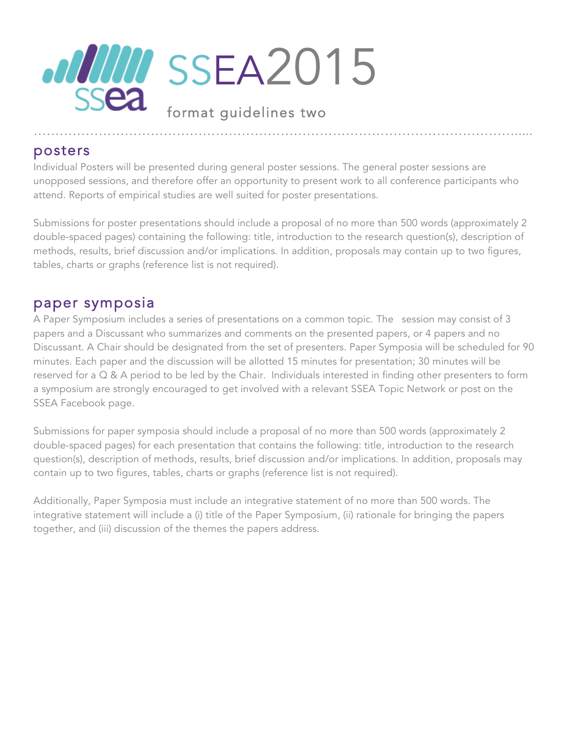

Individual Posters will be presented during general poster sessions. The general poster sessions are unopposed sessions, and therefore offer an opportunity to present work to all conference participants who attend. Reports of empirical studies are well suited for poster presentations.

Submissions for poster presentations should include a proposal of no more than 500 words (approximately 2 double-spaced pages) containing the following: title, introduction to the research question(s), description of methods, results, brief discussion and/or implications. In addition, proposals may contain up to two figures, tables, charts or graphs (reference list is not required).

### paper symposia

A Paper Symposium includes a series of presentations on a common topic. The session may consist of 3 papers and a Discussant who summarizes and comments on the presented papers, or 4 papers and no Discussant. A Chair should be designated from the set of presenters. Paper Symposia will be scheduled for 90 minutes. Each paper and the discussion will be allotted 15 minutes for presentation; 30 minutes will be reserved for a Q & A period to be led by the Chair. Individuals interested in finding other presenters to form a symposium are strongly encouraged to get involved with a relevant SSEA Topic Network or post on the SSEA Facebook page.

Submissions for paper symposia should include a proposal of no more than 500 words (approximately 2 double-spaced pages) for each presentation that contains the following: title, introduction to the research question(s), description of methods, results, brief discussion and/or implications. In addition, proposals may contain up to two figures, tables, charts or graphs (reference list is not required).

Additionally, Paper Symposia must include an integrative statement of no more than 500 words. The integrative statement will include a (i) title of the Paper Symposium, (ii) rationale for bringing the papers together, and (iii) discussion of the themes the papers address.